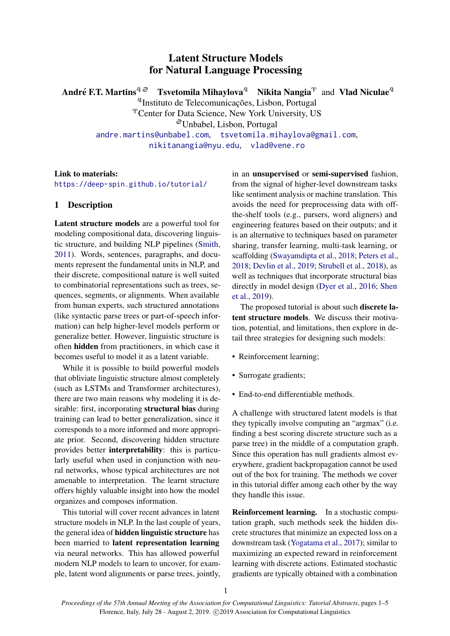# Latent Structure Models for Natural Language Processing

André F.T. Martins ${}^{q\,\varnothing}$  – Tsvetomila Mihaylova ${}^{q}\!$  – Nikita Nangia ${}^{\gamma}$  and  $\,$  Vlad Niculae ${}^{q}\!$ 

<sup>2</sup>Instituto de Telecomunicações, Lisbon, Portugal

<sup>®</sup>Center for Data Science, New York University, US

<sup>ã</sup>Unbabel, Lisbon, Portugal

[andre.martins@unbabel.com](mailto:andre.martins@unbabel.com), [tsvetomila.mihaylova@gmail.com](mailto:tsvetomila.mihaylova@gmail.com), [nikitanangia@nyu.edu](mailto:nikitanangia@nyu.edu), [vlad@vene.ro](mailto:vlad@vene.ro)

### Link to materials:

<https://deep-spin.github.io/tutorial/>

## 1 Description

Latent structure models are a powerful tool for modeling compositional data, discovering linguistic structure, and building NLP pipelines [\(Smith,](#page-4-0) [2011\)](#page-4-0). Words, sentences, paragraphs, and documents represent the fundamental units in NLP, and their discrete, compositional nature is well suited to combinatorial representations such as trees, sequences, segments, or alignments. When available from human experts, such structured annotations (like syntactic parse trees or part-of-speech information) can help higher-level models perform or generalize better. However, linguistic structure is often hidden from practitioners, in which case it becomes useful to model it as a latent variable.

While it is possible to build powerful models that obliviate linguistic structure almost completely (such as LSTMs and Transformer architectures), there are two main reasons why modeling it is desirable: first, incorporating structural bias during training can lead to better generalization, since it corresponds to a more informed and more appropriate prior. Second, discovering hidden structure provides better interpretability: this is particularly useful when used in conjunction with neural networks, whose typical architectures are not amenable to interpretation. The learnt structure offers highly valuable insight into how the model organizes and composes information.

This tutorial will cover recent advances in latent structure models in NLP. In the last couple of years, the general idea of hidden linguistic structure has been married to latent representation learning via neural networks. This has allowed powerful modern NLP models to learn to uncover, for example, latent word alignments or parse trees, jointly,

in an unsupervised or semi-supervised fashion, from the signal of higher-level downstream tasks like sentiment analysis or machine translation. This avoids the need for preprocessing data with offthe-shelf tools (e.g., parsers, word aligners) and engineering features based on their outputs; and it is an alternative to techniques based on parameter sharing, transfer learning, multi-task learning, or scaffolding [\(Swayamdipta et al.,](#page-4-1) [2018;](#page-4-1) [Peters et al.,](#page-3-0) [2018;](#page-3-0) [Devlin et al.,](#page-3-1) [2019;](#page-3-1) [Strubell et al.,](#page-4-2) [2018\)](#page-4-2), as well as techniques that incorporate structural bias directly in model design [\(Dyer et al.,](#page-3-2) [2016;](#page-3-2) [Shen](#page-4-3) [et al.,](#page-4-3) [2019\)](#page-4-3).

The proposed tutorial is about such discrete latent structure models. We discuss their motivation, potential, and limitations, then explore in detail three strategies for designing such models:

- Reinforcement learning;
- Surrogate gradients;
- End-to-end differentiable methods.

A challenge with structured latent models is that they typically involve computing an "argmax" (i.e. finding a best scoring discrete structure such as a parse tree) in the middle of a computation graph. Since this operation has null gradients almost everywhere, gradient backpropagation cannot be used out of the box for training. The methods we cover in this tutorial differ among each other by the way they handle this issue.

Reinforcement learning. In a stochastic computation graph, such methods seek the hidden discrete structures that minimize an expected loss on a downstream task [\(Yogatama et al.,](#page-4-4) [2017\)](#page-4-4); similar to maximizing an expected reward in reinforcement learning with discrete actions. Estimated stochastic gradients are typically obtained with a combination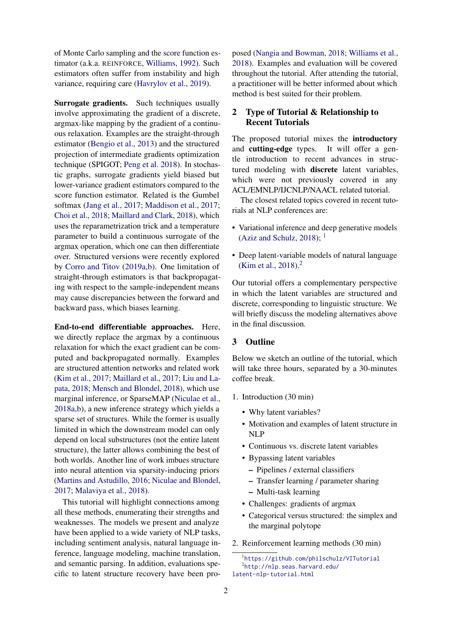of Monte Carlo sampling and the score function estimator (a.k.a. REINFORCE, [Williams,](#page-4-5) [1992\)](#page-4-5). Such estimators often suffer from instability and high variance, requiring care [\(Havrylov et al.,](#page-3-3) [2019\)](#page-3-3).

Surrogate gradients. Such techniques usually involve approximating the gradient of a discrete, argmax-like mapping by the gradient of a continuous relaxation. Examples are the straight-through estimator [\(Bengio et al.,](#page-3-4) [2013\)](#page-3-4) and the structured projection of intermediate gradients optimization technique (SPIGOT; [Peng et al. 2018\)](#page-3-5). In stochastic graphs, surrogate gradients yield biased but lower-variance gradient estimators compared to the score function estimator. Related is the Gumbel softmax [\(Jang et al.,](#page-3-6) [2017;](#page-3-6) [Maddison et al.,](#page-3-7) [2017;](#page-3-7) [Choi et al.,](#page-3-8) [2018;](#page-3-8) [Maillard and Clark,](#page-3-9) [2018\)](#page-3-9), which uses the reparametrization trick and a temperature parameter to build a continuous surrogate of the argmax operation, which one can then differentiate over. Structured versions were recently explored by [Corro and Titov](#page-3-10) [\(2019a,](#page-3-10)[b\)](#page-3-11). One limitation of straight-through estimators is that backpropagating with respect to the sample-independent means may cause discrepancies between the forward and backward pass, which biases learning.

End-to-end differentiable approaches. Here, we directly replace the argmax by a continuous relaxation for which the exact gradient can be computed and backpropagated normally. Examples are structured attention networks and related work [\(Kim et al.,](#page-3-12) [2017;](#page-3-12) [Maillard et al.,](#page-3-13) [2017;](#page-3-13) [Liu and La](#page-3-14)[pata,](#page-3-14) [2018;](#page-3-14) [Mensch and Blondel,](#page-3-15) [2018\)](#page-3-15), which use marginal inference, or SparseMAP [\(Niculae et al.,](#page-3-16) [2018a,](#page-3-16)[b\)](#page-3-17), a new inference strategy which yields a sparse set of structures. While the former is usually limited in which the downstream model can only depend on local substructures (not the entire latent structure), the latter allows combining the best of both worlds. Another line of work imbues structure into neural attention via sparsity-inducing priors [\(Martins and Astudillo,](#page-3-18) [2016;](#page-3-18) [Niculae and Blondel,](#page-3-19) [2017;](#page-3-19) [Malaviya et al.,](#page-3-20) [2018\)](#page-3-20).

This tutorial will highlight connections among all these methods, enumerating their strengths and weaknesses. The models we present and analyze have been applied to a wide variety of NLP tasks, including sentiment analysis, natural language inference, language modeling, machine translation, and semantic parsing. In addition, evaluations specific to latent structure recovery have been proposed [\(Nangia and Bowman,](#page-3-21) [2018;](#page-3-21) [Williams et al.,](#page-4-6) [2018\)](#page-4-6). Examples and evaluation will be covered throughout the tutorial. After attending the tutorial, a practitioner will be better informed about which method is best suited for their problem.

## 2 Type of Tutorial & Relationship to Recent Tutorials

The proposed tutorial mixes the introductory and cutting-edge types. It will offer a gentle introduction to recent advances in structured modeling with discrete latent variables, which were not previously covered in any ACL/EMNLP/IJCNLP/NAACL related tutorial.

The closest related topics covered in recent tutorials at NLP conferences are:

- Variational inference and deep generative models [\(Aziz and Schulz,](#page-3-22) [2018\)](#page-3-22);  $<sup>1</sup>$  $<sup>1</sup>$  $<sup>1</sup>$ </sup>
- Deep latent-variable models of natural language [\(Kim et al.,](#page-3-23) [2018\)](#page-3-23).<sup>[2](#page-1-1)</sup>

Our tutorial offers a complementary perspective in which the latent variables are structured and discrete, corresponding to linguistic structure. We will briefly discuss the modeling alternatives above in the final discussion.

### 3 Outline

Below we sketch an outline of the tutorial, which will take three hours, separated by a 30-minutes coffee break.

- 1. Introduction (30 min)
	- Why latent variables?
	- Motivation and examples of latent structure in NLP
	- Continuous vs. discrete latent variables
	- Bypassing latent variables
		- Pipelines / external classifiers
		- Transfer learning / parameter sharing
		- Multi-task learning
	- Challenges: gradients of argmax
	- Categorical versus structured: the simplex and the marginal polytope
- 2. Reinforcement learning methods (30 min)

<span id="page-1-1"></span><span id="page-1-0"></span><sup>1</sup> <https://github.com/philschulz/VITutorial> 2 [http://nlp.seas.harvard.edu/](http://nlp.seas.harvard.edu/latent-nlp-tutorial.html) [latent-nlp-tutorial.html](http://nlp.seas.harvard.edu/latent-nlp-tutorial.html)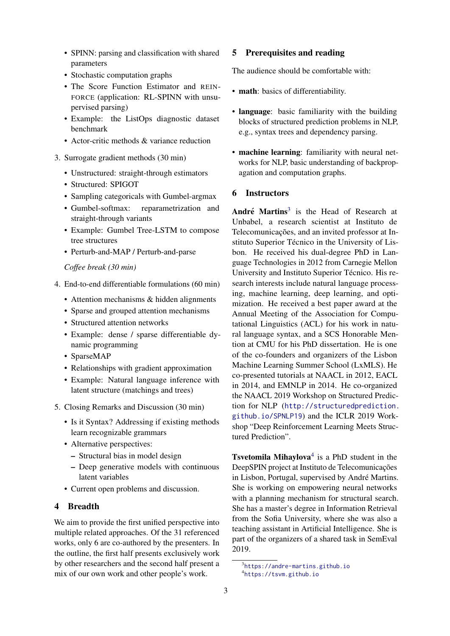- SPINN: parsing and classification with shared parameters
- Stochastic computation graphs
- The Score Function Estimator and REIN-FORCE (application: RL-SPINN with unsupervised parsing)
- Example: the ListOps diagnostic dataset benchmark
- Actor-critic methods & variance reduction
- 3. Surrogate gradient methods (30 min)
	- Unstructured: straight-through estimators
	- Structured: SPIGOT
	- Sampling categoricals with Gumbel-argmax
	- Gumbel-softmax: reparametrization and straight-through variants
	- Example: Gumbel Tree-LSTM to compose tree structures
	- Perturb-and-MAP / Perturb-and-parse

*Coffee break (30 min)*

- 4. End-to-end differentiable formulations (60 min)
	- Attention mechanisms & hidden alignments
	- Sparse and grouped attention mechanisms
	- Structured attention networks
	- Example: dense / sparse differentiable dynamic programming
	- SparseMAP
	- Relationships with gradient approximation
	- Example: Natural language inference with latent structure (matchings and trees)
- 5. Closing Remarks and Discussion (30 min)
	- Is it Syntax? Addressing if existing methods learn recognizable grammars
	- Alternative perspectives:
		- Structural bias in model design
		- Deep generative models with continuous latent variables
	- Current open problems and discussion.

### 4 Breadth

We aim to provide the first unified perspective into multiple related approaches. Of the 31 referenced works, only 6 are co-authored by the presenters. In the outline, the first half presents exclusively work by other researchers and the second half present a mix of our own work and other people's work.

#### 5 Prerequisites and reading

The audience should be comfortable with:

- math: basics of differentiability.
- language: basic familiarity with the building blocks of structured prediction problems in NLP, e.g., syntax trees and dependency parsing.
- machine learning: familiarity with neural networks for NLP, basic understanding of backpropagation and computation graphs.

### 6 Instructors

André Martins<sup>[3](#page-2-0)</sup> is the Head of Research at Unbabel, a research scientist at Instituto de Telecomunicações, and an invited professor at Instituto Superior Técnico in the University of Lisbon. He received his dual-degree PhD in Language Technologies in 2012 from Carnegie Mellon University and Instituto Superior Técnico. His research interests include natural language processing, machine learning, deep learning, and optimization. He received a best paper award at the Annual Meeting of the Association for Computational Linguistics (ACL) for his work in natural language syntax, and a SCS Honorable Mention at CMU for his PhD dissertation. He is one of the co-founders and organizers of the Lisbon Machine Learning Summer School (LxMLS). He co-presented tutorials at NAACL in 2012, EACL in 2014, and EMNLP in 2014. He co-organized the NAACL 2019 Workshop on Structured Prediction for NLP ([http://structuredprediction.](http://structuredprediction.github.io/SPNLP19) [github.io/SPNLP19](http://structuredprediction.github.io/SPNLP19)) and the ICLR 2019 Workshop "Deep Reinforcement Learning Meets Structured Prediction".

**Tsvetomila Mihaylova**<sup>[4](#page-2-1)</sup> is a PhD student in the DeepSPIN project at Instituto de Telecomunicações in Lisbon, Portugal, supervised by André Martins. She is working on empowering neural networks with a planning mechanism for structural search. She has a master's degree in Information Retrieval from the Sofia University, where she was also a teaching assistant in Artificial Intelligence. She is part of the organizers of a shared task in SemEval 2019.

<span id="page-2-1"></span><span id="page-2-0"></span><sup>3</sup> <https://andre-martins.github.io> 4 <https://tsvm.github.io>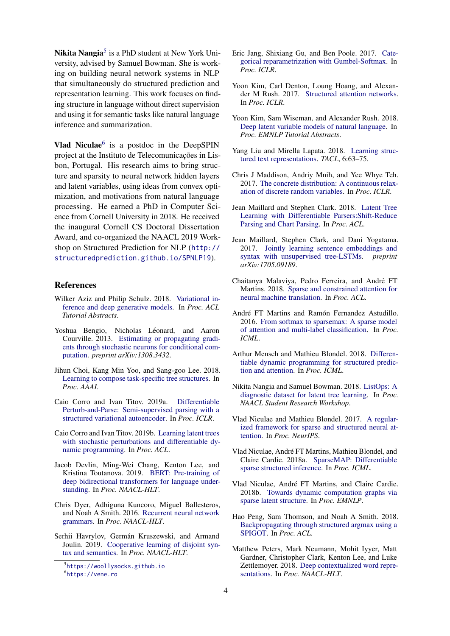Nikita Nangia<sup>[5](#page-3-24)</sup> is a PhD student at New York University, advised by Samuel Bowman. She is working on building neural network systems in NLP that simultaneously do structured prediction and representation learning. This work focuses on finding structure in language without direct supervision and using it for semantic tasks like natural language inference and summarization.

Vlad Niculae $<sup>6</sup>$  $<sup>6</sup>$  $<sup>6</sup>$  is a postdoc in the DeepSPIN</sup> project at the Instituto de Telecomunicações in Lisbon, Portugal. His research aims to bring structure and sparsity to neural network hidden layers and latent variables, using ideas from convex optimization, and motivations from natural language processing. He earned a PhD in Computer Science from Cornell University in 2018. He received the inaugural Cornell CS Doctoral Dissertation Award, and co-organized the NAACL 2019 Workshop on Structured Prediction for NLP ([http://](http://structuredprediction.github.io/SPNLP19) [structuredprediction.github.io/SPNLP19](http://structuredprediction.github.io/SPNLP19)).

#### References

- <span id="page-3-22"></span>Wilker Aziz and Philip Schulz. 2018. [Variational in](https://www.aclweb.org/anthology/P18-5003)[ference and deep generative models.](https://www.aclweb.org/anthology/P18-5003) In *Proc. ACL Tutorial Abstracts*.
- <span id="page-3-4"></span>Yoshua Bengio, Nicholas Léonard, and Aaron Courville. 2013. [Estimating or propagating gradi](https://arxiv.org/abs/1308.3432)[ents through stochastic neurons for conditional com](https://arxiv.org/abs/1308.3432)[putation.](https://arxiv.org/abs/1308.3432) *preprint arXiv:1308.3432*.
- <span id="page-3-8"></span>Jihun Choi, Kang Min Yoo, and Sang-goo Lee. 2018. [Learning to compose task-specific tree structures.](https://arxiv.org/abs/1707.02786) In *Proc. AAAI*.
- <span id="page-3-10"></span>Caio Corro and Ivan Titov. 2019a. [Differentiable](https://openreview.net/forum?id=BJlgNh0qKQ) [Perturb-and-Parse: Semi-supervised parsing with a](https://openreview.net/forum?id=BJlgNh0qKQ) [structured variational autoencoder.](https://openreview.net/forum?id=BJlgNh0qKQ) In *Proc. ICLR*.
- <span id="page-3-11"></span>Caio Corro and Ivan Titov. 2019b. [Learning latent trees](https://caio-corro.fr/pdf/acl2019.pdf) [with stochastic perturbations and differentiable dy](https://caio-corro.fr/pdf/acl2019.pdf)[namic programming.](https://caio-corro.fr/pdf/acl2019.pdf) In *Proc. ACL*.
- <span id="page-3-1"></span>Jacob Devlin, Ming-Wei Chang, Kenton Lee, and Kristina Toutanova. 2019. [BERT: Pre-training of](https://www.aclweb.org/anthology/N19-1423) [deep bidirectional transformers for language under](https://www.aclweb.org/anthology/N19-1423)[standing.](https://www.aclweb.org/anthology/N19-1423) In *Proc. NAACL-HLT*.
- <span id="page-3-2"></span>Chris Dyer, Adhiguna Kuncoro, Miguel Ballesteros, and Noah A Smith. 2016. [Recurrent neural network](https://arxiv.org/abs/1602.07776) [grammars.](https://arxiv.org/abs/1602.07776) In *Proc. NAACL-HLT*.
- <span id="page-3-3"></span>Serhii Havrylov, Germán Kruszewski, and Armand Joulin. 2019. [Cooperative learning of disjoint syn](https://www.aclweb.org/anthology/N19-1115)[tax and semantics.](https://www.aclweb.org/anthology/N19-1115) In *Proc. NAACL-HLT*.
- <span id="page-3-6"></span>Eric Jang, Shixiang Gu, and Ben Poole. 2017. [Cate](https://arxiv.org/abs/1611.01144)[gorical reparametrization with Gumbel-Softmax.](https://arxiv.org/abs/1611.01144) In *Proc. ICLR*.
- <span id="page-3-12"></span>Yoon Kim, Carl Denton, Loung Hoang, and Alexander M Rush. 2017. [Structured attention networks.](https://arxiv.org/abs/1702.00887) In *Proc. ICLR*.
- <span id="page-3-23"></span>Yoon Kim, Sam Wiseman, and Alexander Rush. 2018. [Deep latent variable models of natural language.](https://arxiv.org/pdf/1812.06834.pdf) In *Proc. EMNLP Tutorial Abstracts*.
- <span id="page-3-14"></span>Yang Liu and Mirella Lapata. 2018. [Learning struc](https://arxiv.org/abs/1705.09207)[tured text representations.](https://arxiv.org/abs/1705.09207) *TACL*, 6:63–75.
- <span id="page-3-7"></span>Chris J Maddison, Andriy Mnih, and Yee Whye Teh. 2017. [The concrete distribution: A continuous relax](https://arxiv.org/abs/1611.00712)[ation of discrete random variables.](https://arxiv.org/abs/1611.00712) In *Proc. ICLR*.
- <span id="page-3-9"></span>Jean Maillard and Stephen Clark. 2018. [Latent Tree](http://aclweb.org/anthology/W18-2903) [Learning with Differentiable Parsers:Shift-Reduce](http://aclweb.org/anthology/W18-2903) [Parsing and Chart Parsing.](http://aclweb.org/anthology/W18-2903) In *Proc. ACL*.
- <span id="page-3-13"></span>Jean Maillard, Stephen Clark, and Dani Yogatama. 2017. [Jointly learning sentence embeddings and](https://arxiv.org/abs/1705.09189) [syntax with unsupervised tree-LSTMs.](https://arxiv.org/abs/1705.09189) *preprint arXiv:1705.09189*.
- <span id="page-3-20"></span>Chaitanya Malaviya, Pedro Ferreira, and Andre FT ´ Martins. 2018. [Sparse and constrained attention for](https://arxiv.org/abs/1805.08241) [neural machine translation.](https://arxiv.org/abs/1805.08241) In *Proc. ACL*.
- <span id="page-3-18"></span>André FT Martins and Ramón Fernandez Astudillo. 2016. [From softmax to sparsemax: A sparse model](https://arxiv.org/abs/1602.02068) [of attention and multi-label classification.](https://arxiv.org/abs/1602.02068) In *Proc. ICML*.
- <span id="page-3-15"></span>Arthur Mensch and Mathieu Blondel. 2018. [Differen](https://arxiv.org/abs/1802.03676)[tiable dynamic programming for structured predic](https://arxiv.org/abs/1802.03676)[tion and attention.](https://arxiv.org/abs/1802.03676) In *Proc. ICML*.
- <span id="page-3-21"></span>Nikita Nangia and Samuel Bowman. 2018. [ListOps: A](https://arxiv.org/abs/1804.06028) [diagnostic dataset for latent tree learning.](https://arxiv.org/abs/1804.06028) In *Proc. NAACL Student Research Workshop*.
- <span id="page-3-19"></span>Vlad Niculae and Mathieu Blondel. 2017. [A regular](https://arxiv.org/abs/1705.07704)[ized framework for sparse and structured neural at](https://arxiv.org/abs/1705.07704)[tention.](https://arxiv.org/abs/1705.07704) In *Proc. NeurIPS*.
- <span id="page-3-16"></span>Vlad Niculae, Andre FT Martins, Mathieu Blondel, and ´ Claire Cardie. 2018a. [SparseMAP: Differentiable](https://arxiv.org/abs/1802.04223) [sparse structured inference.](https://arxiv.org/abs/1802.04223) In *Proc. ICML*.
- <span id="page-3-17"></span>Vlad Niculae, André FT Martins, and Claire Cardie. 2018b. [Towards dynamic computation graphs via](https://arxiv.org/abs/1809.00653) [sparse latent structure.](https://arxiv.org/abs/1809.00653) In *Proc. EMNLP*.
- <span id="page-3-5"></span>Hao Peng, Sam Thomson, and Noah A Smith. 2018. [Backpropagating through structured argmax using a](https://arxiv.org/abs/1805.04658) [SPIGOT.](https://arxiv.org/abs/1805.04658) In *Proc. ACL*.
- <span id="page-3-0"></span>Matthew Peters, Mark Neumann, Mohit Iyyer, Matt Gardner, Christopher Clark, Kenton Lee, and Luke Zettlemoyer. 2018. [Deep contextualized word repre](https://arxiv.org/abs/1802.05365)[sentations.](https://arxiv.org/abs/1802.05365) In *Proc. NAACL-HLT*.

<span id="page-3-25"></span><span id="page-3-24"></span><sup>5</sup> <https://woollysocks.github.io> 6 <https://vene.ro>